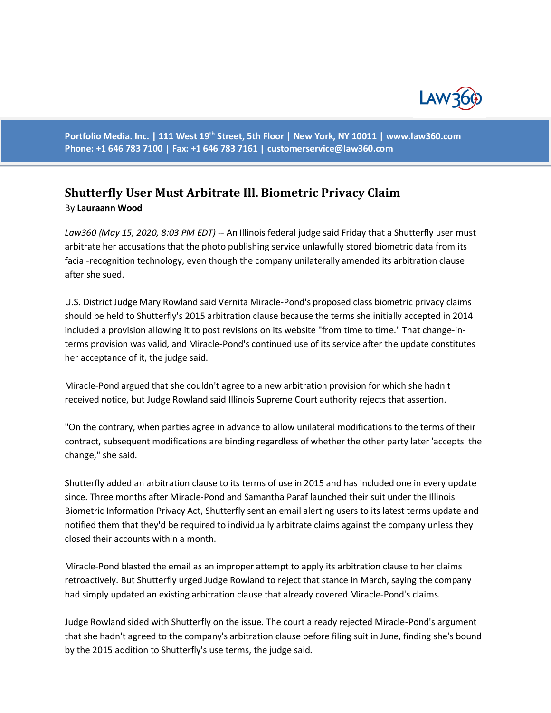

**Portfolio Media. Inc. | 111 West 19th Street, 5th Floor | New York, NY 10011 | www.law360.com Phone: +1 646 783 7100 | Fax: +1 646 783 7161 | [customerservice@law360.com](mailto:customerservice@law360.com)**

## **Shutterfly User Must Arbitrate Ill. Biometric Privacy Claim** By **Lauraann Wood**

*Law360 (May 15, 2020, 8:03 PM EDT) --* An Illinois federal judge said Friday that a Shutterfly user must arbitrate her accusations that the photo publishing service unlawfully stored biometric data from its facial-recognition technology, even though the company unilaterally amended its arbitration clause after she sued.

U.S. District Judge Mary Rowland said Vernita Miracle-Pond's proposed class biometric privacy claims should be held to Shutterfly's 2015 arbitration clause because the terms she initially accepted in 2014 included a provision allowing it to post revisions on its website "from time to time." That change-interms provision was valid, and Miracle-Pond's continued use of its service after the update constitutes her acceptance of it, the judge said.

Miracle-Pond argued that she couldn't agree to a new arbitration provision for which she hadn't received notice, but Judge Rowland said Illinois Supreme Court authority rejects that assertion.

"On the contrary, when parties agree in advance to allow unilateral modifications to the terms of their contract, subsequent modifications are binding regardless of whether the other party later 'accepts' the change," she said.

Shutterfly added an arbitration clause to its terms of use in 2015 and has included one in every update since. Three months after Miracle-Pond and Samantha Paraf launched their suit under the Illinois Biometric Information Privacy Act, Shutterfly sent an email alerting users to its latest terms update and notified them that they'd be required to individually arbitrate claims against the company unless they closed their accounts within a month.

Miracle-Pond blasted the email as an improper attempt to apply its arbitration clause to her claims retroactively. But Shutterfly urged Judge Rowland to reject that stance in March, saying the company had simply updated an existing arbitration clause that already covered Miracle-Pond's claims.

Judge Rowland sided with Shutterfly on the issue. The court already rejected Miracle-Pond's argument that she hadn't agreed to the company's arbitration clause before filing suit in June, finding she's bound by the 2015 addition to Shutterfly's use terms, the judge said.